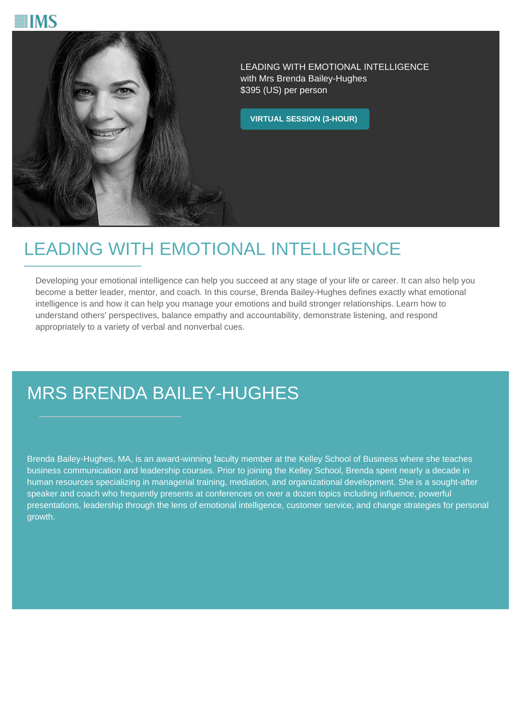



LEADING WITH EMOTIONAL INTELLIGENCE with Mrs Brenda Bailey-Hughes \$395 (US) per person

**VIRTUAL SESSION (3-HOUR)**

## LEADING WITH EMOTIONAL INTELLIGENCE

Developing your emotional intelligence can help you succeed at any stage of your life or career. It can also help you become a better leader, mentor, and coach. In this course, Brenda Bailey-Hughes defines exactly what emotional intelligence is and how it can help you manage your emotions and build stronger relationships. Learn how to understand others' perspectives, balance empathy and accountability, demonstrate listening, and respond appropriately to a variety of verbal and nonverbal cues.

## MRS BRENDA BAILEY-HUGHES

Brenda Bailey-Hughes, MA, is an award-winning faculty member at the Kelley School of Business where she teaches business communication and leadership courses. Prior to joining the Kelley School, Brenda spent nearly a decade in human resources specializing in managerial training, mediation, and organizational development. She is a sought-after speaker and coach who frequently presents at conferences on over a dozen topics including influence, powerful presentations, leadership through the lens of emotional intelligence, customer service, and change strategies for personal growth.